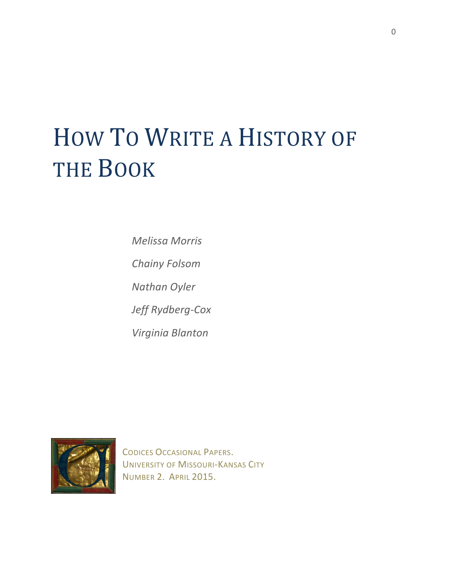# HOW TO WRITE A HISTORY OF THE BOOK

*Melissa Morris*

*Chainy Folsom*

*Nathan Oyler*

Jeff Rydberg-Cox

*Virginia Blanton*



**CODICES OCCASIONAL PAPERS.** UNIVERSITY OF MISSOURI-KANSAS CITY NUMBER 2. APRIL 2015.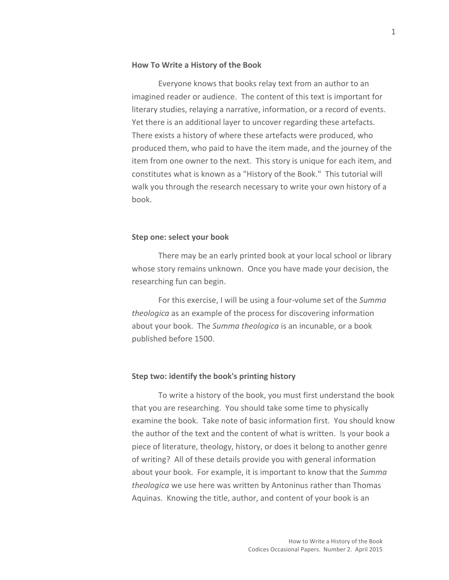## **How To Write a History of the Book**

Everyone knows that books relay text from an author to an imagined reader or audience. The content of this text is important for literary studies, relaying a narrative, information, or a record of events. Yet there is an additional layer to uncover regarding these artefacts. There exists a history of where these artefacts were produced, who produced them, who paid to have the item made, and the journey of the item from one owner to the next. This story is unique for each item, and constitutes what is known as a "History of the Book." This tutorial will walk you through the research necessary to write your own history of a book. 

## **Step one: select your book**

There may be an early printed book at your local school or library whose story remains unknown. Once you have made your decision, the researching fun can begin.

For this exercise, I will be using a four-volume set of the *Summa theologica* as an example of the process for discovering information about your book. The *Summa theologica* is an incunable, or a book published before 1500.

# **Step two: identify the book's printing history**

To write a history of the book, you must first understand the book that you are researching. You should take some time to physically examine the book. Take note of basic information first. You should know the author of the text and the content of what is written. Is your book a piece of literature, theology, history, or does it belong to another genre of writing? All of these details provide you with general information about your book. For example, it is important to know that the *Summa theologica* we use here was written by Antoninus rather than Thomas Aquinas. Knowing the title, author, and content of your book is an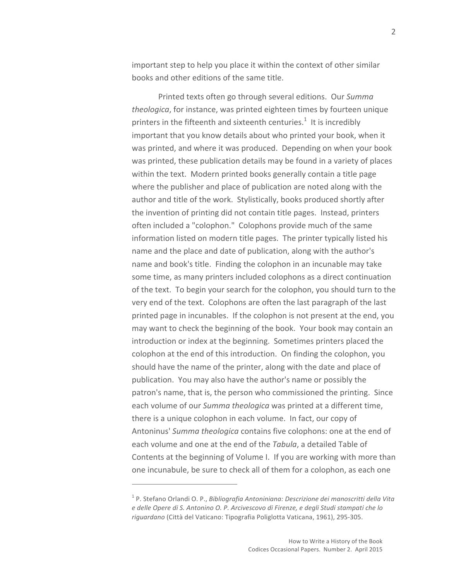important step to help you place it within the context of other similar books and other editions of the same title.

Printed texts often go through several editions. Our *Summa theologica*, for instance, was printed eighteen times by fourteen unique printers in the fifteenth and sixteenth centuries.<sup>1</sup> It is incredibly important that you know details about who printed your book, when it was printed, and where it was produced. Depending on when your book was printed, these publication details may be found in a variety of places within the text. Modern printed books generally contain a title page where the publisher and place of publication are noted along with the author and title of the work. Stylistically, books produced shortly after the invention of printing did not contain title pages. Instead, printers often included a "colophon." Colophons provide much of the same information listed on modern title pages. The printer typically listed his name and the place and date of publication, along with the author's name and book's title. Finding the colophon in an incunable may take some time, as many printers included colophons as a direct continuation of the text. To begin your search for the colophon, you should turn to the very end of the text. Colophons are often the last paragraph of the last printed page in incunables. If the colophon is not present at the end, you may want to check the beginning of the book. Your book may contain an introduction or index at the beginning. Sometimes printers placed the colophon at the end of this introduction. On finding the colophon, you should have the name of the printer, along with the date and place of publication. You may also have the author's name or possibly the patron's name, that is, the person who commissioned the printing. Since each volume of our *Summa theologica* was printed at a different time, there is a unique colophon in each volume. In fact, our copy of Antoninus' Summa theologica contains five colophons: one at the end of each volume and one at the end of the *Tabula*, a detailed Table of Contents at the beginning of Volume I. If you are working with more than one incunabule, be sure to check all of them for a colophon, as each one

<sup>&</sup>lt;sup>1</sup> P. Stefano Orlandi O. P., *Bibliografia Antoniniana: Descrizione dei manoscritti della Vita e delle Opere di S. Antonino O. P. Arcivescovo di Firenze, e degli Studi stampati che lo riguardano* (Città del Vaticano: Tipografia Poliglotta Vaticana, 1961), 295-305.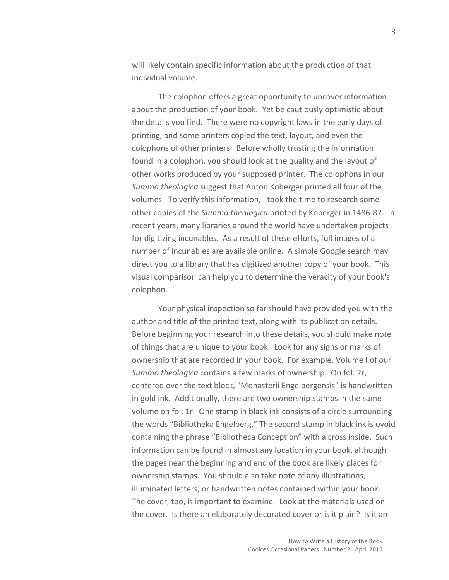will likely contain specific information about the production of that individual volume.

The colophon offers a great opportunity to uncover information about the production of your book. Yet be cautiously optimistic about the details you find. There were no copyright laws in the early days of printing, and some printers copied the text, layout, and even the colophons of other printers. Before wholly trusting the information found in a colophon, you should look at the quality and the layout of other works produced by your supposed printer. The colophons in our *Summa theologica* suggest that Anton Koberger printed all four of the volumes. To verify this information, I took the time to research some other copies of the *Summa theologica* printed by Koberger in 1486-87. In recent years, many libraries around the world have undertaken projects for digitizing incunables. As a result of these efforts, full images of a number of incunables are available online. A simple Google search may direct you to a library that has digitized another copy of your book. This visual comparison can help you to determine the veracity of your book's colophon.

Your physical inspection so far should have provided you with the author and title of the printed text, along with its publication details. Before beginning your research into these details, you should make note of things that are unique to your book. Look for any signs or marks of ownership that are recorded in your book. For example, Volume I of our *Summa theologica* contains a few marks of ownership. On fol. 2r, centered over the text block, "Monasterii Engelbergensis" is handwritten in gold ink. Additionally, there are two ownership stamps in the same volume on fol. 1r. One stamp in black ink consists of a circle surrounding the words "Bibliotheka Engelberg." The second stamp in black ink is ovoid containing the phrase "Bibliotheca Conception" with a cross inside. Such information can be found in almost any location in your book, although the pages near the beginning and end of the book are likely places for ownership stamps. You should also take note of any illustrations, illuminated letters, or handwritten notes contained within your book. The cover, too, is important to examine. Look at the materials used on the cover. Is there an elaborately decorated cover or is it plain? Is it an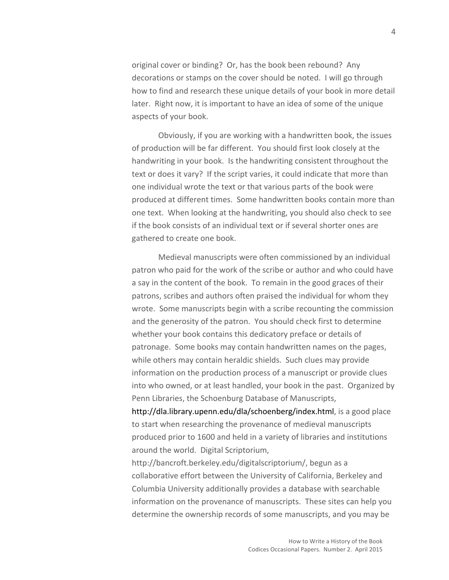original cover or binding? Or, has the book been rebound? Any decorations or stamps on the cover should be noted. I will go through how to find and research these unique details of your book in more detail later. Right now, it is important to have an idea of some of the unique aspects of your book.

Obviously, if you are working with a handwritten book, the issues of production will be far different. You should first look closely at the handwriting in your book. Is the handwriting consistent throughout the text or does it vary? If the script varies, it could indicate that more than one individual wrote the text or that various parts of the book were produced at different times. Some handwritten books contain more than one text. When looking at the handwriting, you should also check to see if the book consists of an individual text or if several shorter ones are gathered to create one book.

Medieval manuscripts were often commissioned by an individual patron who paid for the work of the scribe or author and who could have a say in the content of the book. To remain in the good graces of their patrons, scribes and authors often praised the individual for whom they wrote. Some manuscripts begin with a scribe recounting the commission and the generosity of the patron. You should check first to determine whether your book contains this dedicatory preface or details of patronage. Some books may contain handwritten names on the pages, while others may contain heraldic shields. Such clues may provide information on the production process of a manuscript or provide clues into who owned, or at least handled, your book in the past. Organized by Penn Libraries, the Schoenburg Database of Manuscripts,

http://dla.library.upenn.edu/dla/schoenberg/index.html, is a good place to start when researching the provenance of medieval manuscripts produced prior to 1600 and held in a variety of libraries and institutions around the world. Digital Scriptorium,

http://bancroft.berkeley.edu/digitalscriptorium/, begun as a collaborative effort between the University of California, Berkeley and Columbia University additionally provides a database with searchable information on the provenance of manuscripts. These sites can help you determine the ownership records of some manuscripts, and you may be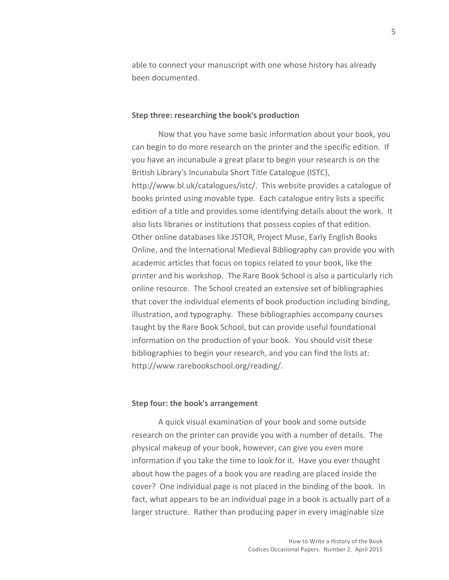able to connect your manuscript with one whose history has already been documented. 

### **Step three: researching the book's production**

Now that you have some basic information about your book, you can begin to do more research on the printer and the specific edition. If you have an incunabule a great place to begin your research is on the British Library's Incunabula Short Title Catalogue (ISTC), http://www.bl.uk/catalogues/istc/. This website provides a catalogue of books printed using movable type. Each catalogue entry lists a specific edition of a title and provides some identifying details about the work. It also lists libraries or institutions that possess copies of that edition. Other online databases like JSTOR, Project Muse, Early English Books Online, and the International Medieval Bibliography can provide you with academic articles that focus on topics related to your book, like the printer and his workshop. The Rare Book School is also a particularly rich online resource. The School created an extensive set of bibliographies that cover the individual elements of book production including binding, illustration, and typography. These bibliographies accompany courses taught by the Rare Book School, but can provide useful foundational information on the production of your book. You should visit these bibliographies to begin your research, and you can find the lists at: http://www.rarebookschool.org/reading/. 

# **Step four: the book's arrangement**

A quick visual examination of your book and some outside research on the printer can provide you with a number of details. The physical makeup of your book, however, can give you even more information if you take the time to look for it. Have you ever thought about how the pages of a book you are reading are placed inside the cover? One individual page is not placed in the binding of the book. In fact, what appears to be an individual page in a book is actually part of a larger structure. Rather than producing paper in every imaginable size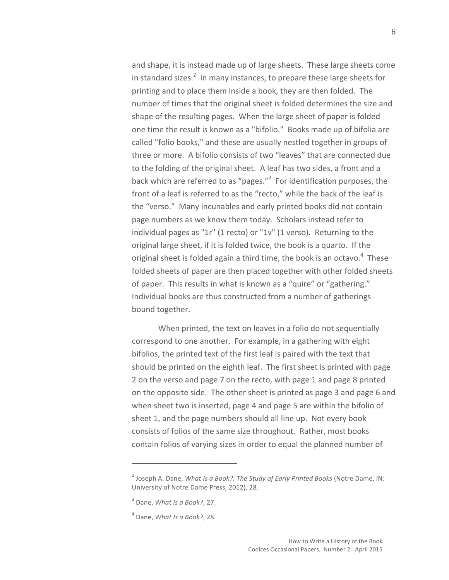and shape, it is instead made up of large sheets. These large sheets come in standard sizes.<sup>2</sup> In many instances, to prepare these large sheets for printing and to place them inside a book, they are then folded. The number of times that the original sheet is folded determines the size and shape of the resulting pages. When the large sheet of paper is folded one time the result is known as a "bifolio." Books made up of bifolia are called "folio books," and these are usually nestled together in groups of three or more. A bifolio consists of two "leaves" that are connected due to the folding of the original sheet. A leaf has two sides, a front and a back which are referred to as "pages."<sup>3</sup> For identification purposes, the front of a leaf is referred to as the "recto," while the back of the leaf is the "verso." Many incunables and early printed books did not contain page numbers as we know them today. Scholars instead refer to individual pages as "1r" (1 recto) or "1v" (1 verso). Returning to the original large sheet, if it is folded twice, the book is a quarto. If the original sheet is folded again a third time, the book is an octavo. $4$  These folded sheets of paper are then placed together with other folded sheets of paper. This results in what is known as a "quire" or "gathering." Individual books are thus constructed from a number of gatherings bound together.

When printed, the text on leaves in a folio do not sequentially correspond to one another. For example, in a gathering with eight bifolios, the printed text of the first leaf is paired with the text that should be printed on the eighth leaf. The first sheet is printed with page 2 on the verso and page 7 on the recto, with page 1 and page 8 printed on the opposite side. The other sheet is printed as page 3 and page 6 and when sheet two is inserted, page 4 and page 5 are within the bifolio of sheet 1, and the page numbers should all line up. Not every book consists of folios of the same size throughout. Rather, most books contain folios of varying sizes in order to equal the planned number of

 $2$  Joseph A. Dane, *What Is a Book?: The Study of Early Printed Books* (Notre Dame, IN: University of Notre Dame Press, 2012), 28.

<sup>&</sup>lt;sup>3</sup> Dane, *What Is a Book?*, 27.

 $<sup>4</sup>$  Dane, *What Is a Book?*, 28.</sup>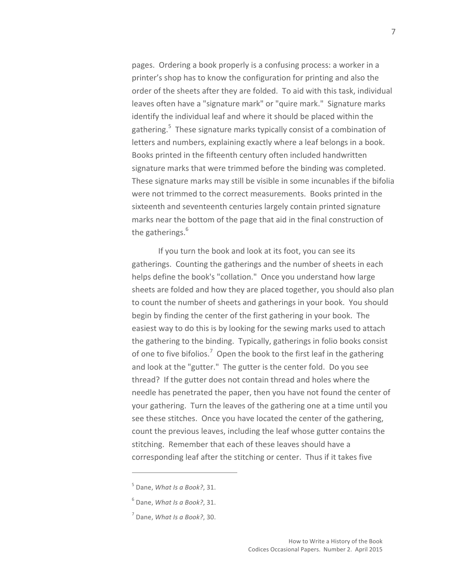pages. Ordering a book properly is a confusing process: a worker in a printer's shop has to know the configuration for printing and also the order of the sheets after they are folded. To aid with this task, individual leaves often have a "signature mark" or "quire mark." Signature marks identify the individual leaf and where it should be placed within the gathering.<sup>5</sup> These signature marks typically consist of a combination of letters and numbers, explaining exactly where a leaf belongs in a book. Books printed in the fifteenth century often included handwritten signature marks that were trimmed before the binding was completed. These signature marks may still be visible in some incunables if the bifolia were not trimmed to the correct measurements. Books printed in the sixteenth and seventeenth centuries largely contain printed signature marks near the bottom of the page that aid in the final construction of the gatherings.<sup>6</sup>

If you turn the book and look at its foot, you can see its gatherings. Counting the gatherings and the number of sheets in each helps define the book's "collation." Once you understand how large sheets are folded and how they are placed together, you should also plan to count the number of sheets and gatherings in your book. You should begin by finding the center of the first gathering in your book. The easiest way to do this is by looking for the sewing marks used to attach the gathering to the binding. Typically, gatherings in folio books consist of one to five bifolios.<sup>7</sup> Open the book to the first leaf in the gathering and look at the "gutter." The gutter is the center fold. Do you see thread? If the gutter does not contain thread and holes where the needle has penetrated the paper, then you have not found the center of your gathering. Turn the leaves of the gathering one at a time until you see these stitches. Once you have located the center of the gathering, count the previous leaves, including the leaf whose gutter contains the stitching. Remember that each of these leaves should have a corresponding leaf after the stitching or center. Thus if it takes five

 $<sup>5</sup>$  Dane, *What Is a Book?*, 31.</sup>

 $<sup>6</sup>$  Dane, *What Is a Book?*, 31.</sup>

 $<sup>7</sup>$  Dane, *What Is a Book?*, 30.</sup>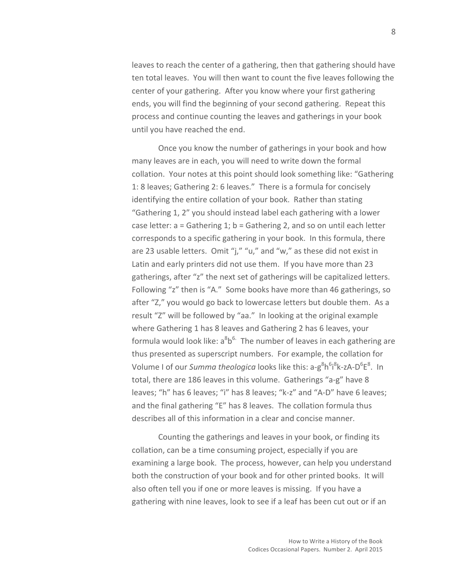leaves to reach the center of a gathering, then that gathering should have ten total leaves. You will then want to count the five leaves following the center of your gathering. After you know where your first gathering ends, you will find the beginning of your second gathering. Repeat this process and continue counting the leaves and gatherings in your book until you have reached the end.

Once you know the number of gatherings in your book and how many leaves are in each, you will need to write down the formal collation. Your notes at this point should look something like: "Gathering 1: 8 leaves; Gathering 2: 6 leaves." There is a formula for concisely identifying the entire collation of your book. Rather than stating "Gathering 1, 2" you should instead label each gathering with a lower case letter:  $a =$  Gathering 1; b = Gathering 2, and so on until each letter corresponds to a specific gathering in your book. In this formula, there are 23 usable letters. Omit "j," "u," and "w," as these did not exist in Latin and early printers did not use them. If you have more than 23 gatherings, after "z" the next set of gatherings will be capitalized letters. Following "z" then is "A." Some books have more than 46 gatherings, so after "Z," you would go back to lowercase letters but double them. As a result "Z" will be followed by "aa." In looking at the original example where Gathering 1 has 8 leaves and Gathering 2 has 6 leaves, your formula would look like:  $a^8b^6$ . The number of leaves in each gathering are thus presented as superscript numbers. For example, the collation for Volume I of our *Summa theologica* looks like this: a-g<sup>8</sup>h<sup>6</sup>i<sup>8</sup>k-zA-D<sup>6</sup>E<sup>8</sup>. In total, there are 186 leaves in this volume. Gatherings "a-g" have 8 leaves; "h" has 6 leaves; "i" has 8 leaves; "k-z" and "A-D" have 6 leaves; and the final gathering "E" has 8 leaves. The collation formula thus describes all of this information in a clear and concise manner.

Counting the gatherings and leaves in your book, or finding its collation, can be a time consuming project, especially if you are examining a large book. The process, however, can help you understand both the construction of your book and for other printed books. It will also often tell you if one or more leaves is missing. If you have a gathering with nine leaves, look to see if a leaf has been cut out or if an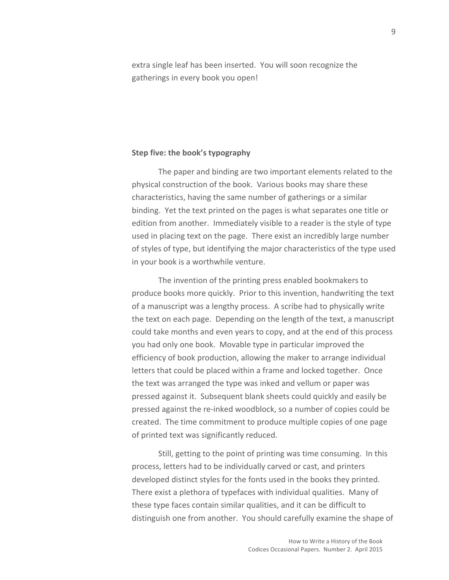extra single leaf has been inserted. You will soon recognize the gatherings in every book you open!

### **Step five: the book's typography**

The paper and binding are two important elements related to the physical construction of the book. Various books may share these characteristics, having the same number of gatherings or a similar binding. Yet the text printed on the pages is what separates one title or edition from another. Immediately visible to a reader is the style of type used in placing text on the page. There exist an incredibly large number of styles of type, but identifying the major characteristics of the type used in your book is a worthwhile venture.

The invention of the printing press enabled bookmakers to produce books more quickly. Prior to this invention, handwriting the text of a manuscript was a lengthy process. A scribe had to physically write the text on each page. Depending on the length of the text, a manuscript could take months and even years to copy, and at the end of this process you had only one book. Movable type in particular improved the efficiency of book production, allowing the maker to arrange individual letters that could be placed within a frame and locked together. Once the text was arranged the type was inked and vellum or paper was pressed against it. Subsequent blank sheets could quickly and easily be pressed against the re-inked woodblock, so a number of copies could be created. The time commitment to produce multiple copies of one page of printed text was significantly reduced.

Still, getting to the point of printing was time consuming. In this process, letters had to be individually carved or cast, and printers developed distinct styles for the fonts used in the books they printed. There exist a plethora of typefaces with individual qualities. Many of these type faces contain similar qualities, and it can be difficult to distinguish one from another. You should carefully examine the shape of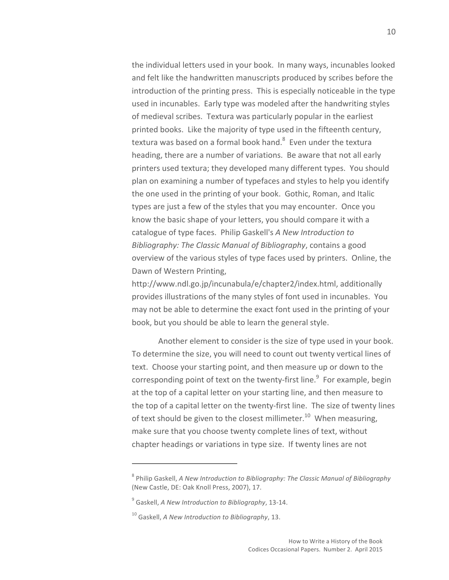the individual letters used in your book. In many ways, incunables looked and felt like the handwritten manuscripts produced by scribes before the introduction of the printing press. This is especially noticeable in the type used in incunables. Early type was modeled after the handwriting styles of medieval scribes. Textura was particularly popular in the earliest printed books. Like the majority of type used in the fifteenth century, textura was based on a formal book hand.<sup>8</sup> Even under the textura heading, there are a number of variations. Be aware that not all early printers used textura; they developed many different types. You should plan on examining a number of typefaces and styles to help you identify the one used in the printing of your book. Gothic, Roman, and Italic types are just a few of the styles that you may encounter. Once you know the basic shape of your letters, you should compare it with a catalogue of type faces. Philip Gaskell's A New Introduction to *Bibliography: The Classic Manual of Bibliography, contains a good* overview of the various styles of type faces used by printers. Online, the Dawn of Western Printing,

http://www.ndl.go.jp/incunabula/e/chapter2/index.html, additionally provides illustrations of the many styles of font used in incunables. You may not be able to determine the exact font used in the printing of your book, but you should be able to learn the general style.

Another element to consider is the size of type used in your book. To determine the size, you will need to count out twenty vertical lines of text. Choose your starting point, and then measure up or down to the corresponding point of text on the twenty-first line. $9$  For example, begin at the top of a capital letter on your starting line, and then measure to the top of a capital letter on the twenty-first line. The size of twenty lines of text should be given to the closest millimeter.<sup>10</sup> When measuring, make sure that you choose twenty complete lines of text, without chapter headings or variations in type size. If twenty lines are not

<sup>&</sup>lt;sup>8</sup> Philip Gaskell, *A New Introduction to Bibliography: The Classic Manual of Bibliography* (New Castle, DE: Oak Knoll Press, 2007), 17.

<sup>&</sup>lt;sup>9</sup> Gaskell, *A New Introduction to Bibliography*, 13-14.

<sup>&</sup>lt;sup>10</sup> Gaskell, *A New Introduction to Bibliography*, 13.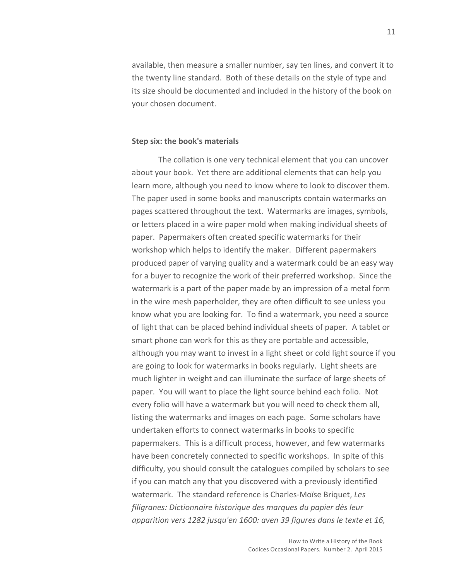available, then measure a smaller number, say ten lines, and convert it to the twenty line standard. Both of these details on the style of type and its size should be documented and included in the history of the book on your chosen document.

### **Step six: the book's materials**

The collation is one very technical element that you can uncover about your book. Yet there are additional elements that can help you learn more, although you need to know where to look to discover them. The paper used in some books and manuscripts contain watermarks on pages scattered throughout the text. Watermarks are images, symbols, or letters placed in a wire paper mold when making individual sheets of paper. Papermakers often created specific watermarks for their workshop which helps to identify the maker. Different papermakers produced paper of varying quality and a watermark could be an easy way for a buyer to recognize the work of their preferred workshop. Since the watermark is a part of the paper made by an impression of a metal form in the wire mesh paperholder, they are often difficult to see unless you know what you are looking for. To find a watermark, you need a source of light that can be placed behind individual sheets of paper. A tablet or smart phone can work for this as they are portable and accessible, although you may want to invest in a light sheet or cold light source if you are going to look for watermarks in books regularly. Light sheets are much lighter in weight and can illuminate the surface of large sheets of paper. You will want to place the light source behind each folio. Not every folio will have a watermark but you will need to check them all, listing the watermarks and images on each page. Some scholars have undertaken efforts to connect watermarks in books to specific papermakers. This is a difficult process, however, and few watermarks have been concretely connected to specific workshops. In spite of this difficulty, you should consult the catalogues compiled by scholars to see if you can match any that you discovered with a previously identified watermark. The standard reference is Charles-Moïse Briquet, Les *filigranes: Dictionnaire historique des marques du papier dès leur*  apparition vers 1282 jusqu'en 1600: aven 39 figures dans le texte et 16,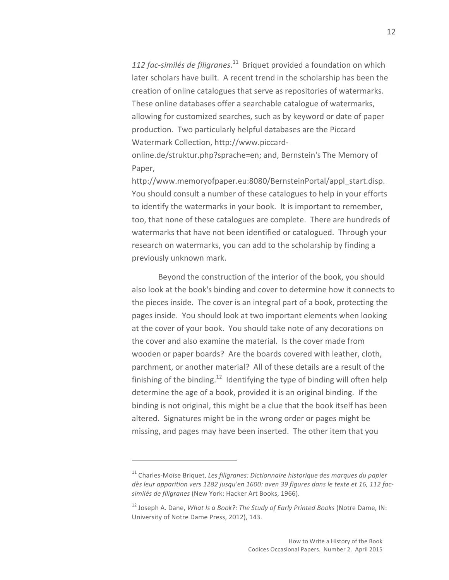112 fac-similés de filigranes.<sup>11</sup> Briquet provided a foundation on which later scholars have built. A recent trend in the scholarship has been the creation of online catalogues that serve as repositories of watermarks. These online databases offer a searchable catalogue of watermarks, allowing for customized searches, such as by keyword or date of paper production. Two particularly helpful databases are the Piccard Watermark Collection, http://www.piccard-

online.de/struktur.php?sprache=en; and, Bernstein's The Memory of Paper, 

http://www.memoryofpaper.eu:8080/BernsteinPortal/appl\_start.disp. You should consult a number of these catalogues to help in your efforts to identify the watermarks in your book. It is important to remember, too, that none of these catalogues are complete. There are hundreds of watermarks that have not been identified or catalogued. Through your research on watermarks, you can add to the scholarship by finding a previously unknown mark.

Beyond the construction of the interior of the book, you should also look at the book's binding and cover to determine how it connects to the pieces inside. The cover is an integral part of a book, protecting the pages inside. You should look at two important elements when looking at the cover of your book. You should take note of any decorations on the cover and also examine the material. Is the cover made from wooden or paper boards? Are the boards covered with leather, cloth, parchment, or another material? All of these details are a result of the finishing of the binding.<sup>12</sup> Identifying the type of binding will often help determine the age of a book, provided it is an original binding. If the binding is not original, this might be a clue that the book itself has been altered. Signatures might be in the wrong order or pages might be missing, and pages may have been inserted. The other item that you

<sup>&</sup>lt;sup>11</sup> Charles-Moïse Briquet, Les filigranes: Dictionnaire historique des marques du papier dès leur apparition vers 1282 jusqu'en 1600: aven 39 figures dans le texte et 16, 112 facsimilés de filigranes (New York: Hacker Art Books, 1966).

<sup>&</sup>lt;sup>12</sup> Joseph A. Dane, *What Is a Book?: The Study of Early Printed Books* (Notre Dame, IN: University of Notre Dame Press, 2012), 143.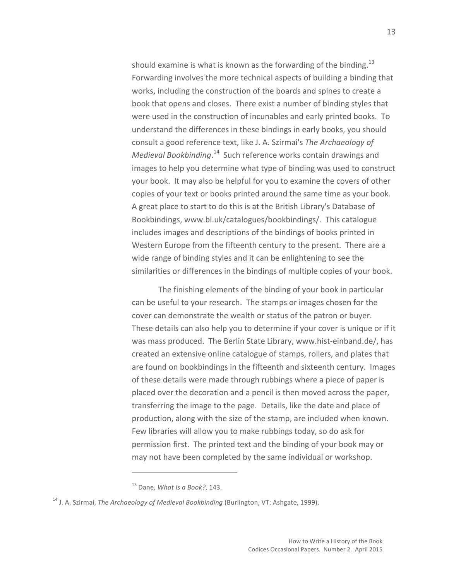should examine is what is known as the forwarding of the binding.<sup>13</sup> Forwarding involves the more technical aspects of building a binding that works, including the construction of the boards and spines to create a book that opens and closes. There exist a number of binding styles that were used in the construction of incunables and early printed books. To understand the differences in these bindings in early books, you should consult a good reference text, like J. A. Szirmai's *The Archaeology of* Medieval Bookbinding.<sup>14</sup> Such reference works contain drawings and images to help you determine what type of binding was used to construct your book. It may also be helpful for you to examine the covers of other copies of your text or books printed around the same time as your book. A great place to start to do this is at the British Library's Database of Bookbindings, www.bl.uk/catalogues/bookbindings/. This catalogue includes images and descriptions of the bindings of books printed in Western Europe from the fifteenth century to the present. There are a wide range of binding styles and it can be enlightening to see the similarities or differences in the bindings of multiple copies of your book.

The finishing elements of the binding of your book in particular can be useful to your research. The stamps or images chosen for the cover can demonstrate the wealth or status of the patron or buyer. These details can also help you to determine if your cover is unique or if it was mass produced. The Berlin State Library, www.hist-einband.de/, has created an extensive online catalogue of stamps, rollers, and plates that are found on bookbindings in the fifteenth and sixteenth century. Images of these details were made through rubbings where a piece of paper is placed over the decoration and a pencil is then moved across the paper, transferring the image to the page. Details, like the date and place of production, along with the size of the stamp, are included when known. Few libraries will allow you to make rubbings today, so do ask for permission first. The printed text and the binding of your book may or may not have been completed by the same individual or workshop.

<sup>&</sup>lt;sup>13</sup> Dane, *What Is a Book?*, 143.

<sup>&</sup>lt;sup>14</sup> J. A. Szirmai, *The Archaeology of Medieval Bookbinding* (Burlington, VT: Ashgate, 1999).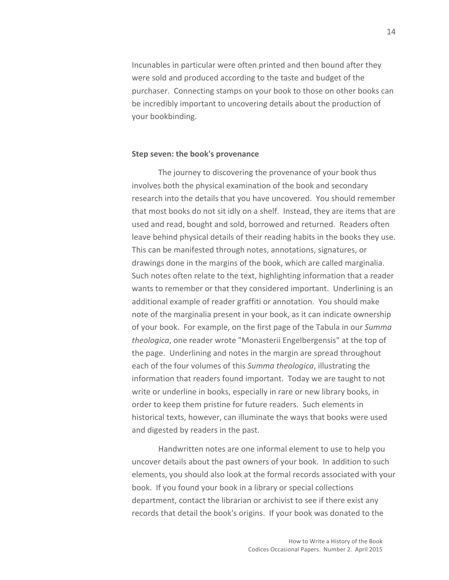Incunables in particular were often printed and then bound after they were sold and produced according to the taste and budget of the purchaser. Connecting stamps on your book to those on other books can be incredibly important to uncovering details about the production of your bookbinding.

### **Step seven: the book's provenance**

The journey to discovering the provenance of your book thus involves both the physical examination of the book and secondary research into the details that you have uncovered. You should remember that most books do not sit idly on a shelf. Instead, they are items that are used and read, bought and sold, borrowed and returned. Readers often leave behind physical details of their reading habits in the books they use. This can be manifested through notes, annotations, signatures, or drawings done in the margins of the book, which are called marginalia. Such notes often relate to the text, highlighting information that a reader wants to remember or that they considered important. Underlining is an additional example of reader graffiti or annotation. You should make note of the marginalia present in your book, as it can indicate ownership of your book. For example, on the first page of the Tabula in our *Summa theologica*, one reader wrote "Monasterii Engelbergensis" at the top of the page. Underlining and notes in the margin are spread throughout each of the four volumes of this *Summa theologica*, illustrating the information that readers found important. Today we are taught to not write or underline in books, especially in rare or new library books, in order to keep them pristine for future readers. Such elements in historical texts, however, can illuminate the ways that books were used and digested by readers in the past.

Handwritten notes are one informal element to use to help you uncover details about the past owners of your book. In addition to such elements, you should also look at the formal records associated with your book. If you found your book in a library or special collections department, contact the librarian or archivist to see if there exist any records that detail the book's origins. If your book was donated to the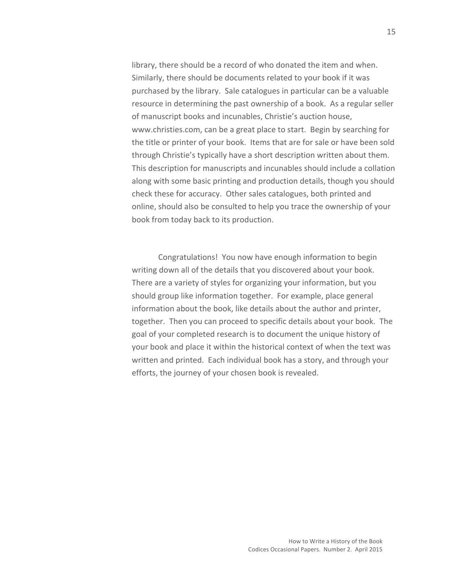library, there should be a record of who donated the item and when. Similarly, there should be documents related to your book if it was purchased by the library. Sale catalogues in particular can be a valuable resource in determining the past ownership of a book. As a regular seller of manuscript books and incunables, Christie's auction house, www.christies.com, can be a great place to start. Begin by searching for the title or printer of your book. Items that are for sale or have been sold through Christie's typically have a short description written about them. This description for manuscripts and incunables should include a collation along with some basic printing and production details, though you should check these for accuracy. Other sales catalogues, both printed and online, should also be consulted to help you trace the ownership of your book from today back to its production.

Congratulations! You now have enough information to begin writing down all of the details that you discovered about your book. There are a variety of styles for organizing your information, but you should group like information together. For example, place general information about the book, like details about the author and printer, together. Then you can proceed to specific details about your book. The goal of your completed research is to document the unique history of your book and place it within the historical context of when the text was written and printed. Each individual book has a story, and through your efforts, the journey of your chosen book is revealed.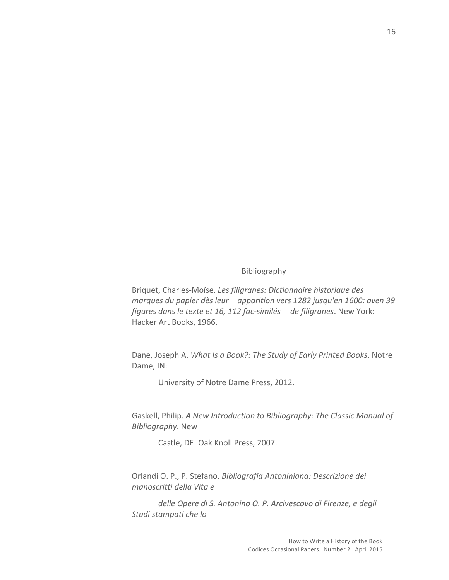## Bibliography

Briquet, Charles-Moïse. Les filigranes: Dictionnaire historique des *marques du papier dès leur apparition vers 1282 jusqu'en 1600: aven 39 figures dans le texte et 16, 112 fac-similés de filigranes*. New York: Hacker Art Books, 1966.

Dane, Joseph A. What Is a Book?: The Study of Early Printed Books. Notre Dame, IN:

University of Notre Dame Press, 2012.

Gaskell, Philip. A New Introduction to Bibliography: The Classic Manual of *Bibliography*. New

Castle, DE: Oak Knoll Press, 2007.

Orlandi O. P., P. Stefano. *Bibliografia Antoniniana: Descrizione dei manoscritti della Vita e*

delle Opere di S. Antonino O. P. Arcivescovo di Firenze, e degli *Studi stampati che lo*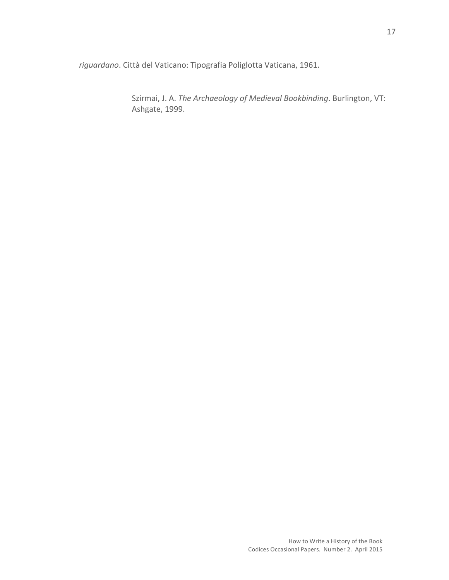*riguardano*. Città del Vaticano: Tipografia Poliglotta Vaticana, 1961.

Szirmai, J. A. The Archaeology of Medieval Bookbinding. Burlington, VT: Ashgate, 1999.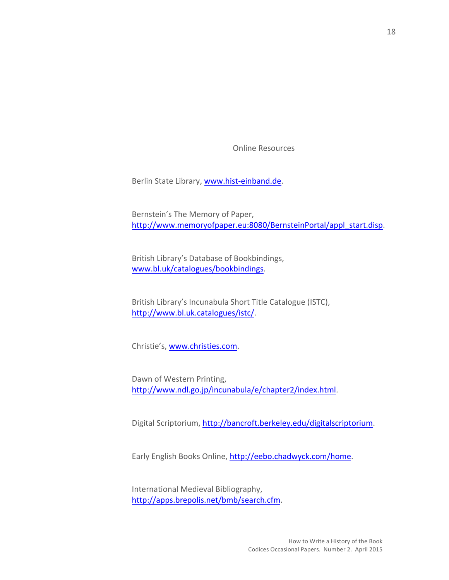**Online Resources** 

Berlin State Library, www.hist-einband.de.

Bernstein's The Memory of Paper, http://www.memoryofpaper.eu:8080/BernsteinPortal/appl\_start.disp. 

British Library's Database of Bookbindings, www.bl.uk/catalogues/bookbindings. 

British Library's Incunabula Short Title Catalogue (ISTC), http://www.bl.uk.catalogues/istc/. 

Christie's, www.christies.com.

Dawn of Western Printing, http://www.ndl.go.jp/incunabula/e/chapter2/index.html. 

Digital Scriptorium, http://bancroft.berkeley.edu/digitalscriptorium.

Early English Books Online, http://eebo.chadwyck.com/home.

International Medieval Bibliography, http://apps.brepolis.net/bmb/search.cfm.